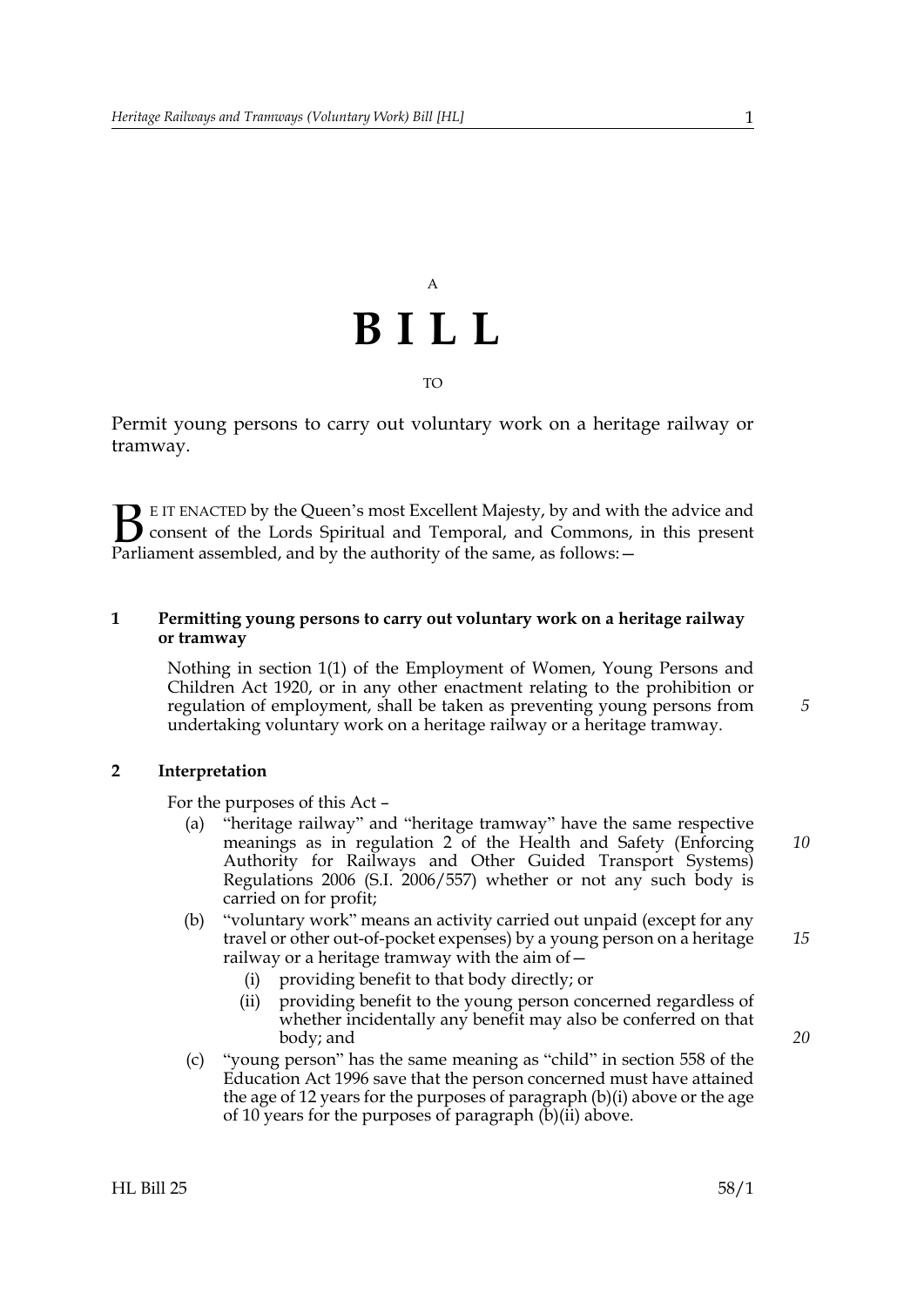# A **BILL** TO

Permit young persons to carry out voluntary work on a heritage railway or tramway.

E IT ENACTED by the Queen's most Excellent Majesty, by and with the advice and consent of the Lords Spiritual and Temporal, and Commons, in this present **B** E IT ENACTED by the Queen's most Excellent Majesty, by and with consent of the Lords Spiritual and Temporal, and Commons, Parliament assembled, and by the authority of the same, as follows:  $-$ 

### **1 Permitting young persons to carry out voluntary work on a heritage railway or tramway**

Nothing in section 1(1) of the Employment of Women, Young Persons and Children Act 1920, or in any other enactment relating to the prohibition or regulation of employment, shall be taken as preventing young persons from undertaking voluntary work on a heritage railway or a heritage tramway.

#### **2 Interpretation**

For the purposes of this Act –

- (a) "heritage railway" and "heritage tramway" have the same respective meanings as in regulation 2 of the Health and Safety (Enforcing Authority for Railways and Other Guided Transport Systems) Regulations 2006 (S.I. 2006/557) whether or not any such body is carried on for profit;
- <span id="page-0-0"></span>(b) "voluntary work" means an activity carried out unpaid (except for any travel or other out-of-pocket expenses) by a young person on a heritage railway or a heritage tramway with the aim of—
	- (i) providing benefit to that body directly; or
	- (ii) providing benefit to the young person concerned regardless of whether incidentally any benefit may also be conferred on that body; and
- <span id="page-0-1"></span>(c) "young person" has the same meaning as "child" in section 558 of the Education Act 1996 save that the person concerned must have attained the age of 12 years for the purposes of paragraph [\(b\)\(i\)](#page-0-0) above or the age of 10 years for the purposes of paragraph  $(b)(ii)$  above.

*20*

*5*

*10*

*15*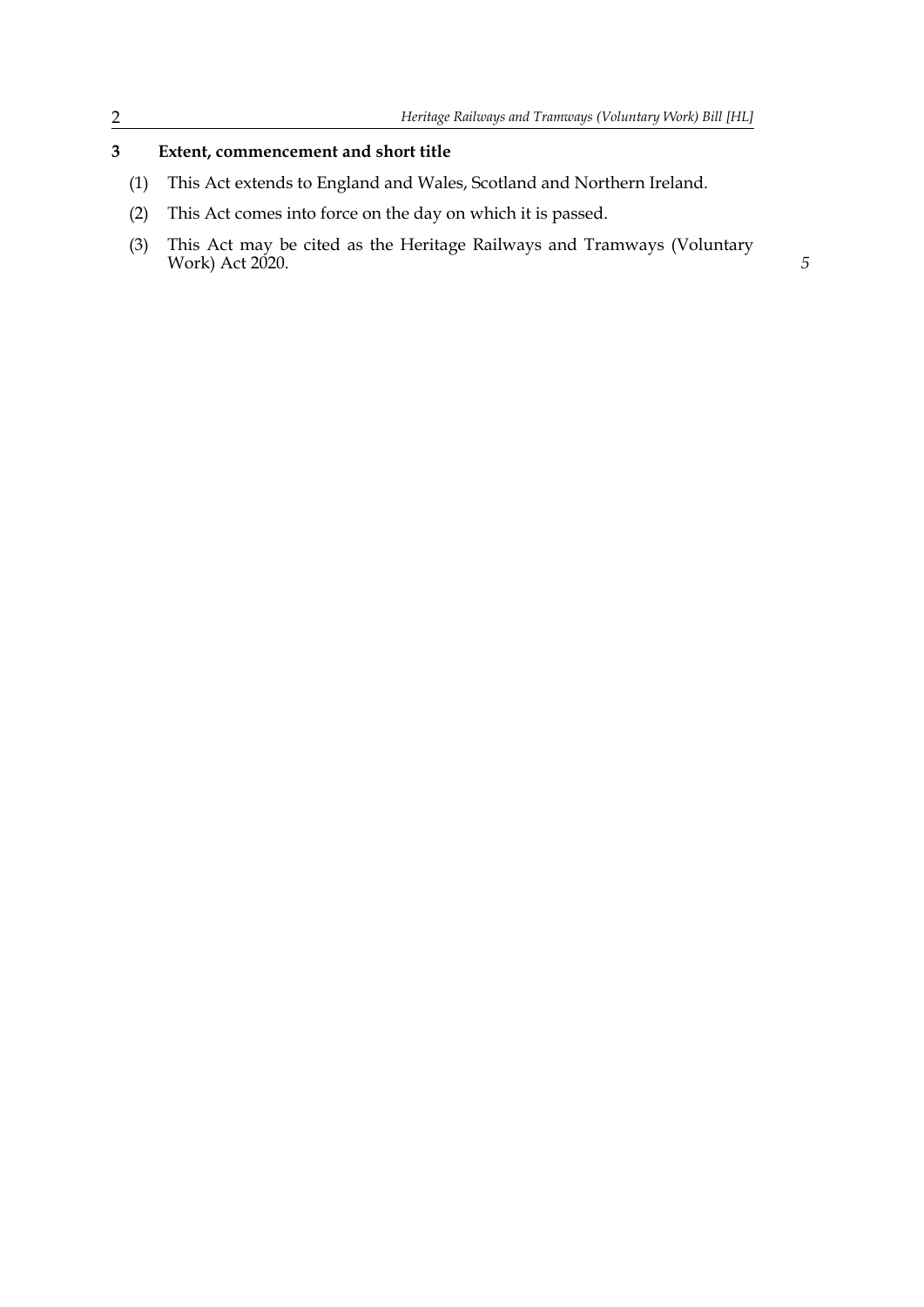### **3 Extent, commencement and short title**

- (1) This Act extends to England and Wales, Scotland and Northern Ireland.
- (2) This Act comes into force on the day on which it is passed.
- (3) This Act may be cited as the Heritage Railways and Tramways (Voluntary Work) Act 2020. **5**